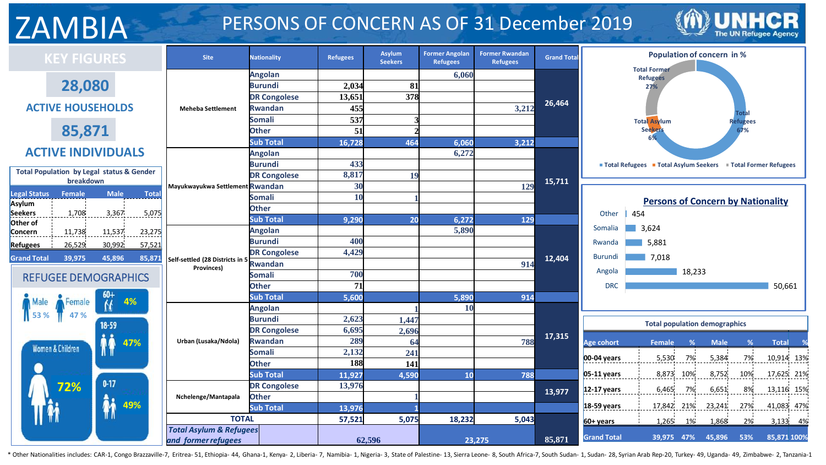# ZAMBIA PERSONS OF CONCERN AS OF 31 December 2019



| <b>KEY FIGURES</b>                                                | <b>Site</b>                                               | <b>Nationality</b>  | <b>Refugees</b> | Asylum<br><b>Seekers</b> | <b>Former Angolan</b><br><b>Refugees</b> | <b>Former Rwandan</b><br><b>Refugees</b> | <b>Grand Total</b> | <b>Population of concern in %</b>                                           |
|-------------------------------------------------------------------|-----------------------------------------------------------|---------------------|-----------------|--------------------------|------------------------------------------|------------------------------------------|--------------------|-----------------------------------------------------------------------------|
|                                                                   |                                                           | <b>Angolan</b>      |                 |                          | 6,060                                    |                                          |                    | <b>Total Former</b>                                                         |
| 28,080                                                            |                                                           | <b>Burundi</b>      | 2,034           | 81                       |                                          |                                          |                    | Refugees<br>27%                                                             |
|                                                                   |                                                           | <b>DR Congolese</b> | 13,651          | 378                      |                                          |                                          |                    |                                                                             |
| <b>ACTIVE HOUSEHOLDS</b>                                          | <b>Meheba Settlement</b>                                  | <b>Rwandan</b>      | 455             |                          |                                          | 3,212                                    | 26,464             |                                                                             |
|                                                                   |                                                           | <b>Somali</b>       | 537             |                          |                                          |                                          |                    | Total<br><b>Total Asylum</b><br>Refugees                                    |
| 85,871                                                            |                                                           | <b>Other</b>        | 51              |                          |                                          |                                          |                    | <b>Seekers</b><br>67%                                                       |
|                                                                   |                                                           | <b>Sub Total</b>    | 16,728          | 464                      | 6,060                                    | 3,212                                    |                    |                                                                             |
| <b>ACTIVE INDIVIDUALS</b>                                         |                                                           | <b>Angolan</b>      |                 |                          | 6,272                                    |                                          |                    |                                                                             |
|                                                                   |                                                           | <b>Burundi</b>      | 433             |                          |                                          |                                          |                    | ■ Total Refugees ■ Total Asylum Seekers ■ Total Former Refugees             |
| <b>Total Population by Legal status &amp; Gender</b><br>breakdown |                                                           | <b>DR Congolese</b> | 8,817           | 19                       |                                          |                                          | 15,711             |                                                                             |
|                                                                   | Mayukwayukwa Settlement Rwandan                           |                     | 30              |                          |                                          | 129                                      |                    |                                                                             |
| <b>Legal Status</b><br>Female<br><b>Male</b><br><b>Total</b>      |                                                           | <b>Somali</b>       | 10              |                          |                                          |                                          |                    | <b>Persons of Concern by Nationality</b>                                    |
| Asylum<br>Seekers<br>1,708<br>3,367<br>5,075                      |                                                           | <b>Other</b>        |                 |                          |                                          |                                          |                    | Other<br>454                                                                |
| Other of                                                          |                                                           | <b>Sub Total</b>    | 9,290           | 20                       | 6,272                                    | 129                                      |                    |                                                                             |
| 11,537<br>11,738<br>23,275<br>Concern                             |                                                           | <b>Angolan</b>      |                 |                          | 5,890                                    |                                          |                    | Somalia<br>3,624                                                            |
| 26,529<br>30,992<br>57,521<br><b>Refugees</b>                     |                                                           | <b>Burundi</b>      | 400             |                          |                                          |                                          |                    | 5.881<br>Rwanda                                                             |
| 45,896<br><b>Grand Total</b><br>39,975<br>85,871                  | Self-settled (28 Districts in 5                           | <b>DR Congolese</b> | 4,429           |                          |                                          |                                          | 12,404             | <b>Burundi</b><br>7,018                                                     |
|                                                                   | Provinces)                                                | <b>Rwandan</b>      |                 |                          |                                          | 914                                      |                    |                                                                             |
| <b>REFUGEE DEMOGRAPHICS</b>                                       |                                                           | <b>Somali</b>       | 700             |                          |                                          |                                          |                    | 18,233<br>Angola                                                            |
|                                                                   |                                                           | <b>Other</b>        | 71              |                          |                                          |                                          |                    | <b>DRC</b><br>50,661                                                        |
| 4%<br>Female<br>Male                                              |                                                           | <b>Sub Total</b>    | 5,600           |                          | 5,890                                    | 914                                      |                    |                                                                             |
| 47 %<br>53 %                                                      |                                                           | <b>Angolan</b>      |                 |                          | 10                                       |                                          |                    |                                                                             |
| 18-59                                                             |                                                           | <b>Burundi</b>      | 2,623           | 1,447                    |                                          |                                          |                    | <b>Total population demographics</b>                                        |
|                                                                   |                                                           | <b>DR Congolese</b> | 6,695           | 2,696                    |                                          |                                          | 17,315             |                                                                             |
| 47%<br>Women & Children                                           | Urban (Lusaka/Ndola)                                      | <b>Rwandan</b>      | 289             | 64                       |                                          | 788                                      |                    | <b>Male</b><br>%<br><b>Total</b><br><b>Age cohort</b><br><b>Female</b><br>% |
|                                                                   |                                                           | <b>Somali</b>       | 2,132           | 241                      |                                          |                                          |                    | 7%<br>$7\%$<br>5,530<br>5,384<br>10,914 13%<br>00-04 years                  |
|                                                                   |                                                           | <b>Other</b>        | 188             | 141                      |                                          |                                          |                    |                                                                             |
|                                                                   |                                                           | <b>Sub Total</b>    | 11,927          | 4,590                    | 10                                       | 788                                      |                    | 8,873<br>$05-11$ years<br>10%<br>8,752<br>10%<br>17,625 21%                 |
| $0 - 17$<br>72%                                                   |                                                           | <b>DR Congolese</b> | 13,976          |                          |                                          |                                          | 13,977             | 8%<br>12-17 years<br>6,465<br>7%<br>6,651<br>13,116 15%                     |
| 49%                                                               | Nchelenge/Mantapala                                       | <b>Other</b>        |                 |                          |                                          |                                          |                    |                                                                             |
|                                                                   |                                                           | <b>Sub Total</b>    | 13,976          |                          |                                          |                                          |                    | 27%<br>17,842 21%<br>23,241<br>41,083 47%<br>$18-59$ years                  |
|                                                                   | <b>TOTAL</b>                                              |                     | 57,521          | 5,075                    | 18,232                                   | 5,043                                    |                    | $60+years$<br>1,265<br>1%<br>1,868<br>2%<br>3,133 4%                        |
|                                                                   | <b>Total Asylum &amp; Refugees</b><br>and former refugees |                     |                 | 62,596                   |                                          | 23,275                                   | 85,871             | <b>Grand Total</b><br>39,975 47%<br>45,896<br>53%<br>85,871 100%            |

\* Other Nationalities includes: CAR-1, Congo Brazzaville-7, Eritrea- 51, Ethiopia- 44, Ghana-1, Kenya- 2, Liberia- 7, Namibia- 1, Nigeria- 3, State of Palestine- 13, Sierra Leone- 8, South Africa-7, South Sudan- 1, Sudan-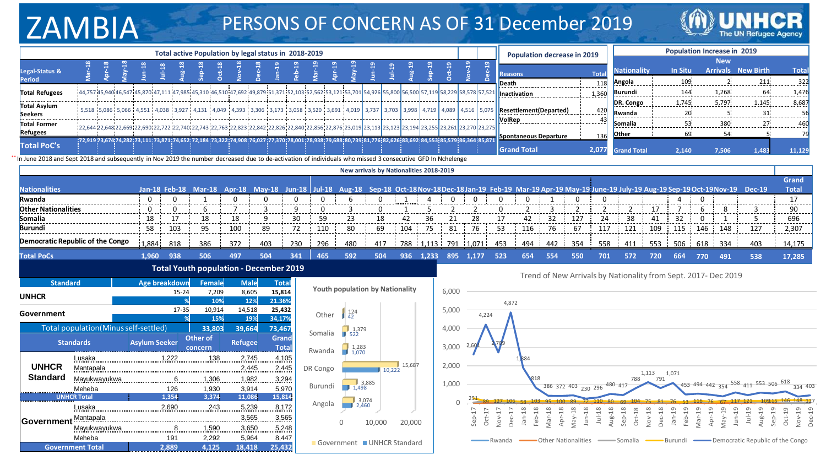# ZAMBIA PERSONS OF CONCERN AS OF 31 December 2019



|                       |  |  |   |  | Total active Population by legal status in 2018-2019                                                                                                                                                                           |  |   |                                            |  |  |  |               | <b>Population decrease in 2019</b>                                                                                                                                  |       |                    |                | Population Increase in 2019 |                           |             |
|-----------------------|--|--|---|--|--------------------------------------------------------------------------------------------------------------------------------------------------------------------------------------------------------------------------------|--|---|--------------------------------------------|--|--|--|---------------|---------------------------------------------------------------------------------------------------------------------------------------------------------------------|-------|--------------------|----------------|-----------------------------|---------------------------|-------------|
|                       |  |  |   |  |                                                                                                                                                                                                                                |  |   |                                            |  |  |  |               |                                                                                                                                                                     |       |                    |                | <b>New</b>                  |                           |             |
| Legal-Status &        |  |  |   |  |                                                                                                                                                                                                                                |  |   |                                            |  |  |  |               | <b>Reasons</b>                                                                                                                                                      | Tota  | <b>Nationality</b> | <b>In Situ</b> |                             | <b>Arrivals</b> New Birth | <b>Tota</b> |
| <b>Period</b>         |  |  |   |  |                                                                                                                                                                                                                                |  |   |                                            |  |  |  | Death         |                                                                                                                                                                     |       | Angola             |                |                             |                           | 322         |
| <b>Total Refugees</b> |  |  |   |  |                                                                                                                                                                                                                                |  |   |                                            |  |  |  |               | 44,75745,94046,54745,87047,11147,985445,310146,510147,692149,879151,371152,103152,562153,121153,701 54,926 55,800 56,500 57,119 58,229 58,578 57,521   Inactivation | 1.36  | lBurundi           |                | 1.268                       |                           | 1.476       |
| Total Asylum          |  |  |   |  |                                                                                                                                                                                                                                |  |   |                                            |  |  |  |               |                                                                                                                                                                     | .     | DR. Congo          | 1.745          | 5,797                       | 1.145                     | 8,687       |
| <b>Seekers</b>        |  |  |   |  | 5,006   4,510   4,038   4,511   4,038   3,927   4,131   4,049   4,393   3,306   3,173   3,058   3,520   3,691   4,019   3,737   3,703   3,998   4,719   4,089   4,516   5,075                                                  |  |   |                                            |  |  |  |               | Resettlement(Departed) 111142                                                                                                                                       |       | Rwanda             |                |                             |                           |             |
| Total Former          |  |  |   |  |                                                                                                                                                                                                                                |  |   |                                            |  |  |  | <b>NolRep</b> |                                                                                                                                                                     |       | Somalia            |                | 380                         |                           |             |
| <b>Refugees</b>       |  |  |   |  | 22,644;22,648;22,669;22,690;22,722;22,740;22,743;22,763;22,823;22,842;22,826;22,840;22,856;22,876;23,019 [23,113] 23,123 [23,194 [23,255] 23,261 [23,270] 23,275                                                               |  |   |                                            |  |  |  |               | Spontaneous Departure                                                                                                                                               | 136   | <b>Other</b>       |                |                             |                           |             |
| <b>Total PoC's</b>    |  |  |   |  | $:72.919.73.674.74.282.73.111.73.871.74.652.72.184.73.322.74.908.76.027.134.73.332.74.933.75.037.134.73.332.74.933.75.037.134.73.332.74.933.75.037.134.73.332.74.933.75.037.134.73.332.74.933.75.037.134.73.332.74.933.75.037$ |  |   | 177.370:78.001:78.938:79.688:80.739:81.776 |  |  |  |               |                                                                                                                                                                     |       |                    |                |                             |                           |             |
|                       |  |  | . |  |                                                                                                                                                                                                                                |  | . |                                            |  |  |  |               | <b>Grand Total</b>                                                                                                                                                  | 2.077 | <b>Grand Total</b> | 2.140          | 7.506                       | 1.483                     | 11.12       |

\*\* In June 2018 and Sept 2018 and subsequently in Nov 2019 the number decreased due to de-activation of individuals who missed 3 consecutive GFD In Nchelenge

|                            |                                      |                      |                                     |                                               |               |                  |        |                                                                                                                                        | New arrivals by Nationalities 2018-2019 |         |         |       |          |                   |                     |              |                |                     |                                                                |                |                    |                          |                  |                               |                                            |                       |
|----------------------------|--------------------------------------|----------------------|-------------------------------------|-----------------------------------------------|---------------|------------------|--------|----------------------------------------------------------------------------------------------------------------------------------------|-----------------------------------------|---------|---------|-------|----------|-------------------|---------------------|--------------|----------------|---------------------|----------------------------------------------------------------|----------------|--------------------|--------------------------|------------------|-------------------------------|--------------------------------------------|-----------------------|
| <b>Nationalities</b>       |                                      |                      | Jan-18 Feb-18                       | $Mar-18$                                      | Apr- $18$     | $Mav-18$         |        | Jun-18 Jul-18 Aug-18 Sep-18 Oct-18 Nov-18 Dec-18 Jan-19 Feb-19 Mar-19 Apr-19 May-19 June-19 July-19 Aug-19 Sep-19 Oct-19 Nov-19 Dec-19 |                                         |         |         |       |          |                   |                     |              |                |                     |                                                                |                |                    |                          |                  |                               |                                            | Grand<br><b>Total</b> |
| Rwanda                     |                                      | $\mathbf 0$          |                                     |                                               |               |                  |        |                                                                                                                                        |                                         |         |         |       |          |                   |                     |              |                |                     |                                                                |                |                    |                          |                  |                               |                                            | $-17$                 |
| <b>Other Nationalities</b> |                                      |                      |                                     |                                               |               |                  |        |                                                                                                                                        |                                         |         |         |       |          |                   |                     |              |                |                     |                                                                |                |                    |                          |                  | 8                             |                                            | 90                    |
| Somalia                    |                                      | 18                   | 17<br>. - - - - - - - - - - - - - - | 18<br>--------                                | 18<br>.       | 9<br>-------     | 30     | 59<br>--------                                                                                                                         | 23<br>. <b>.</b> .                      | 18<br>. | 42<br>. | 36    |          | 28                | $28 - 17$           | 42           | 32             | 127                 | 24                                                             | 38             | 41                 | 32                       |                  | .                             | --------                                   | 696                   |
| <b>Burundi</b>             |                                      | 58                   | 103                                 | 95                                            | 100           | 89               | 72     | 110                                                                                                                                    | 80                                      | 69      | 104     | 75    | 81       | 76                | 53                  | 116          | 76             | 67                  | 117                                                            | 121            | 109                | 115                      | 146              | 148                           | 127                                        | 2,307                 |
|                            | Democratic Republic of the Congo     | 1,884                | 818                                 | 386                                           | 372           | 403              | 230    | 296                                                                                                                                    | 480                                     | 417     | 788     |       |          | $1,113$ 791 1,071 | 453                 | 494          | 442            | 354                 | 558                                                            | 411            | 553                | 506                      | 618              | 334                           | 403                                        | 14,175                |
| <b>Total PoCs</b>          |                                      | 1.960                | 938                                 | 506                                           | 497           | 504              | 341    | 465                                                                                                                                    | 592                                     | 504     | 936     | 1.233 | 895      | 1,177             | 523                 | 654          | 554            | 550                 | 701                                                            | 572            | 720                | 664                      | 770              | 491                           | 538                                        | 17,285                |
|                            |                                      |                      |                                     | <b>Total Youth population - December 2019</b> |               |                  |        |                                                                                                                                        |                                         |         |         |       |          |                   |                     |              |                |                     | Trend of New Arrivals by Nationality from Sept. 2017- Dec 2019 |                |                    |                          |                  |                               |                                            |                       |
| <b>Standard</b>            |                                      |                      | Age breakdown                       | Female                                        | <b>Male</b>   | Total            |        |                                                                                                                                        |                                         |         |         |       |          |                   |                     |              |                |                     |                                                                |                |                    |                          |                  |                               |                                            |                       |
| <b>UNHCR</b>               |                                      |                      | 15-24                               | 7,209                                         | 8,605         | 15,814           |        |                                                                                                                                        | Youth population by Nationality         |         |         |       | 6,000    |                   |                     |              |                |                     |                                                                |                |                    |                          |                  |                               |                                            |                       |
|                            |                                      |                      |                                     | 10%                                           | 12%           | 21.36%           |        |                                                                                                                                        |                                         |         |         |       |          |                   | 4,872               |              |                |                     |                                                                |                |                    |                          |                  |                               |                                            |                       |
| Government                 |                                      |                      | 17-35                               | 10,914<br>15%                                 | 14,518<br>19% | 25,432<br>34,17% |        | Other                                                                                                                                  | 124<br>42                               |         |         |       | 5,000    | 4,224             |                     |              |                |                     |                                                                |                |                    |                          |                  |                               |                                            |                       |
|                            | Total population(Minus self-settled) |                      |                                     | 33,803                                        | 39,664        | 73,467           |        |                                                                                                                                        |                                         |         |         |       | 4,000    |                   |                     |              |                |                     |                                                                |                |                    |                          |                  |                               |                                            |                       |
|                            |                                      |                      |                                     | <b>Other of</b>                               |               | Grand            |        | Somalia                                                                                                                                | 4,379                                   |         |         |       |          |                   |                     |              |                |                     |                                                                |                |                    |                          |                  |                               |                                            |                       |
|                            | <b>Standards</b>                     | <b>Asylum Seeker</b> |                                     | concern                                       | Refugee       |                  | Total  | Rwanda                                                                                                                                 | $1,283$<br>$1,070$                      |         |         |       | 3,000    |                   |                     |              |                |                     |                                                                |                |                    |                          |                  |                               |                                            |                       |
|                            | Lusaka                               |                      | 1,222                               | 138                                           | 2,745         |                  | 4,105  |                                                                                                                                        |                                         |         |         |       |          |                   |                     | 1,884        |                |                     |                                                                |                |                    |                          |                  |                               |                                            |                       |
| <b>UNHCR</b>               | Mantapala                            |                      |                                     |                                               | 2,445         |                  | 2,445  | DR Congo                                                                                                                               |                                         | 10.222  | 15,687  |       | 2,000    |                   |                     |              |                |                     |                                                                |                | 1,113              | 1,071                    |                  |                               |                                            |                       |
| <b>Standard</b>            | Mayukwayukwa                         |                      | <u>6</u>                            | 1,306                                         | 1,982         |                  | 3,294  |                                                                                                                                        |                                         |         |         |       |          |                   |                     | 818          |                |                     |                                                                | 788            | 791                |                          |                  |                               |                                            |                       |
|                            | Meheba                               |                      | 126                                 | 1,930                                         | 3,914         |                  | 5,970  | Burundi                                                                                                                                | $3,885$<br>$1,498$                      |         |         |       | 1,000    |                   |                     |              |                | 386 372 403 230 296 |                                                                |                |                    |                          |                  |                               | 153 494 442 354 558 411 553 506 618        | 334 403               |
|                            | <b>UNHCR Total</b>                   |                      | 1.354                               | 3,374                                         | 11,086        |                  | 15,814 |                                                                                                                                        | 3,074                                   |         |         |       | $\Omega$ |                   |                     |              |                |                     |                                                                |                |                    |                          |                  |                               |                                            |                       |
|                            | Lusaka                               |                      | 2,690                               | .243.                                         | 5,239         |                  | 8,172  | Angola                                                                                                                                 | 2.460                                   |         |         |       |          |                   |                     | $^{26}$      |                |                     |                                                                | $\frac{8}{18}$ | $\infty$           | $\overline{\phantom{0}}$ |                  |                               |                                            |                       |
| <b>Government</b>          | Mantapala                            |                      |                                     |                                               | 3,565         |                  | 3,565  |                                                                                                                                        |                                         | 10,000  | 20,000  |       |          | $Sep-17$<br>Ō     | Nov-1<br>$Dec-1$    | Jan-<br>Feb- | Mar-18<br>Apr- | $J$ un-18<br>VeW    | Aug-18<br>$Jul-18$                                             | Oct-<br>Sep-   | Nov-18<br>$Dec-13$ | $Jan-19$<br>Feb-         | Apr-19<br>Mar-19 | $May-19$<br>$\tilde{\exists}$ | $Jul-1!$<br>Aug-19<br>Sep                  | Nov-19<br>$Oct-19$    |
|                            | Mayukwayukwa                         |                      |                                     | 1,590                                         | 3,650         |                  | 5,248  |                                                                                                                                        |                                         |         |         |       |          |                   |                     |              |                |                     |                                                                |                |                    |                          |                  |                               |                                            |                       |
|                            | Meheba                               |                      | 191                                 | 2,292                                         | 5,964         |                  | 8,447  |                                                                                                                                        | Government UNHCR Standard               |         |         |       |          |                   | <del>−</del> Rwanda |              |                | Other Nationalities |                                                                | Somalia        |                    |                          |                  |                               | - Burundi Democratic Republic of the Congo |                       |
|                            | <b>Government Total</b>              |                      | 2.889                               | 4.125                                         | 18,418        | 25,432           |        |                                                                                                                                        |                                         |         |         |       |          |                   |                     |              |                |                     |                                                                |                |                    |                          |                  |                               |                                            |                       |